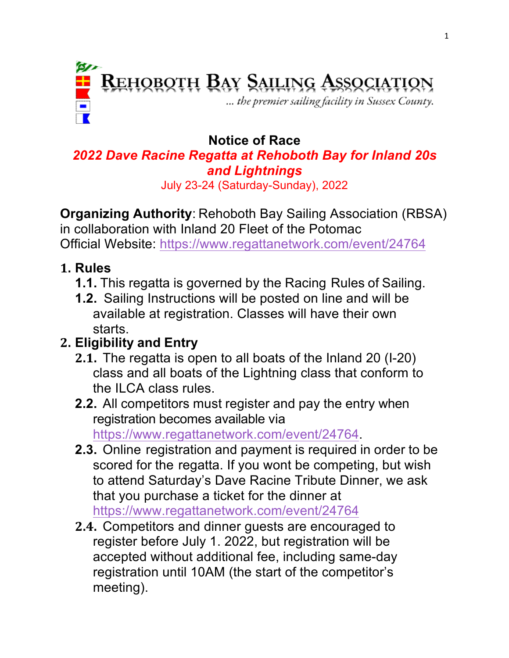

#### **Notice of Race** *2022 Dave Racine Regatta at Rehoboth Bay for Inland 20s and Lightnings*

July 23-24 (Saturday-Sunday), 2022

**Organizing Authority**: Rehoboth Bay Sailing Association (RBSA) in collaboration with Inland 20 Fleet of the Potomac

Official Website: https://www.regattanetwork.com/event/24764

### **1. Rules**

- **1.1.** This regatta is governed by the Racing Rules of Sailing.
- **1.2.** Sailing Instructions will be posted on line and will be available at registration. Classes will have their own starts.

# **2. Eligibility and Entry**

- **2.1.** The regatta is open to all boats of the Inland 20 (I-20) class and all boats of the Lightning class that conform to the ILCA class rules.
- **2.2.** All competitors must register and pay the entry when registration becomes available via https://www.regattanetwork.com/event/24764.
- **2.3.** Online registration and payment is required in order to be scored for the regatta. If you wont be competing, but wish to attend Saturday's Dave Racine Tribute Dinner, we ask that you purchase a ticket for the dinner at https://www.regattanetwork.com/event/24764
- **2.4.** Competitors and dinner guests are encouraged to register before July 1. 2022, but registration will be accepted without additional fee, including same-day registration until 10AM (the start of the competitor's meeting).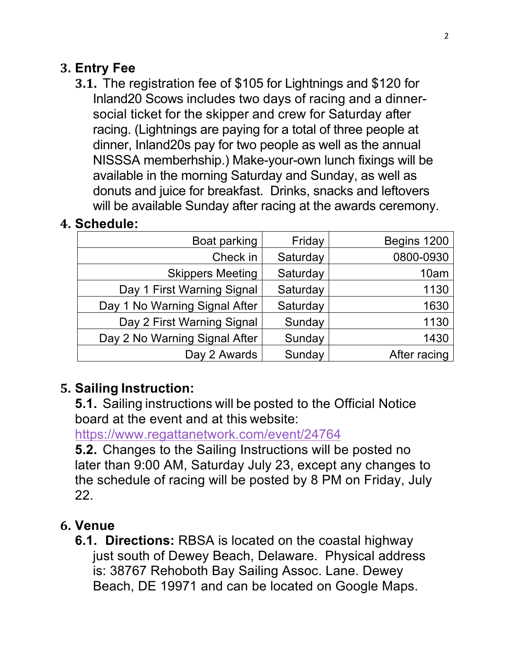### **3. Entry Fee**

**3.1.** The registration fee of \$105 for Lightnings and \$120 for Inland20 Scows includes two days of racing and a dinnersocial ticket for the skipper and crew for Saturday after racing. (Lightnings are paying for a total of three people at dinner, Inland20s pay for two people as well as the annual NISSSA memberhship.) Make-your-own lunch fixings will be available in the morning Saturday and Sunday, as well as donuts and juice for breakfast. Drinks, snacks and leftovers will be available Sunday after racing at the awards ceremony.

## **4. Schedule:**

| Boat parking                  | Friday   | Begins 1200  |
|-------------------------------|----------|--------------|
| Check in                      | Saturday | 0800-0930    |
| <b>Skippers Meeting</b>       | Saturday | 10am         |
| Day 1 First Warning Signal    | Saturday | 1130         |
| Day 1 No Warning Signal After | Saturday | 1630         |
| Day 2 First Warning Signal    | Sunday   | 1130         |
| Day 2 No Warning Signal After | Sunday   | 1430         |
| Day 2 Awards                  | Sunday   | After racing |

## **5. Sailing Instruction:**

**5.1.** Sailing instructions will be posted to the Official Notice board at the event and at this website:

https://www.regattanetwork.com/event/24764

**5.2.** Changes to the Sailing Instructions will be posted no later than 9:00 AM, Saturday July 23, except any changes to the schedule of racing will be posted by 8 PM on Friday, July 22.

## **6. Venue**

**6.1. Directions:** RBSA is located on the coastal highway just south of Dewey Beach, Delaware. Physical address is: 38767 Rehoboth Bay Sailing Assoc. Lane. Dewey Beach, DE 19971 and can be located on Google Maps.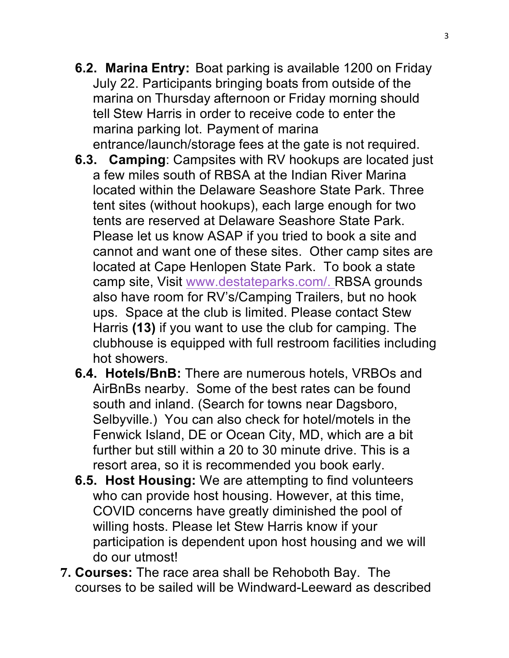- **6.2. Marina Entry:** Boat parking is available 1200 on Friday July 22. Participants bringing boats from outside of the marina on Thursday afternoon or Friday morning should tell Stew Harris in order to receive code to enter the marina parking lot. Payment of marina entrance/launch/storage fees at the gate is not required.
- **6.3. Camping**: Campsites with RV hookups are located just a few miles south of RBSA at the Indian River Marina located within the Delaware Seashore State Park. Three tent sites (without hookups), each large enough for two tents are reserved at Delaware Seashore State Park. Please let us know ASAP if you tried to book a site and cannot and want one of these sites. Other camp sites are located at Cape Henlopen State Park. To book a state camp site, Visit www.destateparks.com/. RBSA grounds also have room for RV's/Camping Trailers, but no hook ups. Space at the club is limited. Please contact Stew Harris **(13)** if you want to use the club for camping. The clubhouse is equipped with full restroom facilities including hot showers.
- **6.4. Hotels/BnB:** There are numerous hotels, VRBOs and AirBnBs nearby. Some of the best rates can be found south and inland. (Search for towns near Dagsboro, Selbyville.) You can also check for hotel/motels in the Fenwick Island, DE or Ocean City, MD, which are a bit further but still within a 20 to 30 minute drive. This is a resort area, so it is recommended you book early.
- **6.5. Host Housing:** We are attempting to find volunteers who can provide host housing. However, at this time, COVID concerns have greatly diminished the pool of willing hosts. Please let Stew Harris know if your participation is dependent upon host housing and we will do our utmost!
- **7. Courses:** The race area shall be Rehoboth Bay. The courses to be sailed will be Windward-Leeward as described